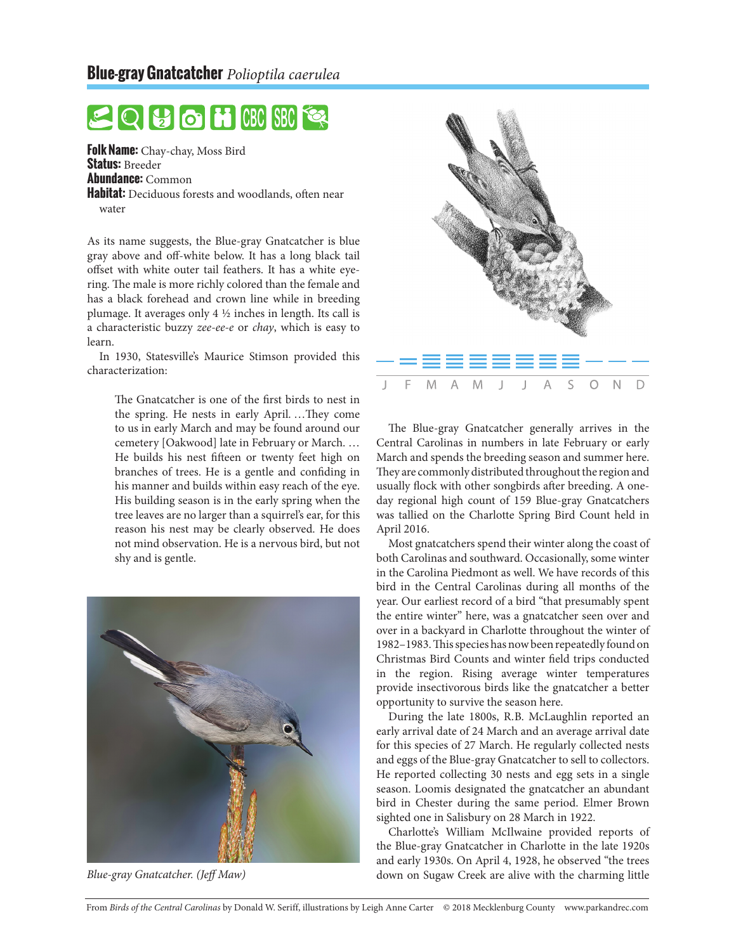## $\big|\bigoplus\big[\bigodot\big]$  in  $\big[\big[\text{CBC}\big]\big]$  SBC

**Folk Name:** Chay-chay, Moss Bird **Status:** Breeder **Abundance:** Common **Habitat:** Deciduous forests and woodlands, often near water

As its name suggests, the Blue-gray Gnatcatcher is blue gray above and off-white below. It has a long black tail offset with white outer tail feathers. It has a white eyering. The male is more richly colored than the female and has a black forehead and crown line while in breeding plumage. It averages only 4 ½ inches in length. Its call is a characteristic buzzy *zee-ee-e* or *chay*, which is easy to learn.

In 1930, Statesville's Maurice Stimson provided this characterization:

> The Gnatcatcher is one of the first birds to nest in the spring. He nests in early April. …They come to us in early March and may be found around our cemetery [Oakwood] late in February or March. … He builds his nest fifteen or twenty feet high on branches of trees. He is a gentle and confiding in his manner and builds within easy reach of the eye. His building season is in the early spring when the tree leaves are no larger than a squirrel's ear, for this reason his nest may be clearly observed. He does not mind observation. He is a nervous bird, but not shy and is gentle.





The Blue-gray Gnatcatcher generally arrives in the Central Carolinas in numbers in late February or early March and spends the breeding season and summer here. They are commonly distributed throughout the region and usually flock with other songbirds after breeding. A oneday regional high count of 159 Blue-gray Gnatcatchers was tallied on the Charlotte Spring Bird Count held in April 2016.

Most gnatcatchers spend their winter along the coast of both Carolinas and southward. Occasionally, some winter in the Carolina Piedmont as well. We have records of this bird in the Central Carolinas during all months of the year. Our earliest record of a bird "that presumably spent the entire winter" here, was a gnatcatcher seen over and over in a backyard in Charlotte throughout the winter of 1982–1983. This species has now been repeatedly found on Christmas Bird Counts and winter field trips conducted in the region. Rising average winter temperatures provide insectivorous birds like the gnatcatcher a better opportunity to survive the season here.

During the late 1800s, R.B. McLaughlin reported an early arrival date of 24 March and an average arrival date for this species of 27 March. He regularly collected nests and eggs of the Blue-gray Gnatcatcher to sell to collectors. He reported collecting 30 nests and egg sets in a single season. Loomis designated the gnatcatcher an abundant bird in Chester during the same period. Elmer Brown sighted one in Salisbury on 28 March in 1922.

Charlotte's William McIlwaine provided reports of the Blue-gray Gnatcatcher in Charlotte in the late 1920s and early 1930s. On April 4, 1928, he observed "the trees *Blue-gray Gnatcatcher. (Jeff Maw)* down on Sugaw Creek are alive with the charming little